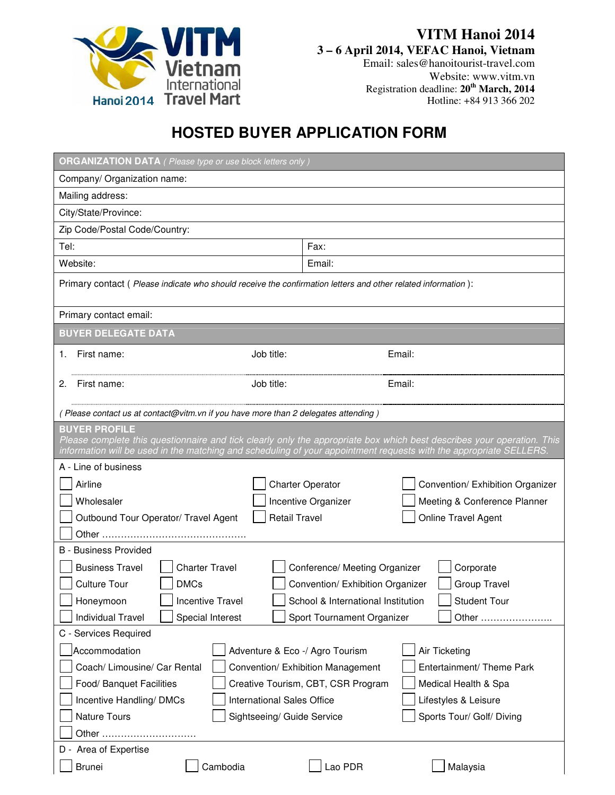

## **VITM Hanoi 2014**

 **3 – 6 April 2014, VEFAC Hanoi, Vietnam**

Email: sales@hanoitourist-travel.com Website: www.vitm.vn Registration deadline: **20th March, 2014** Hotline: +84 913 366 202

## **HOSTED BUYER APPLICATION FORM**

| <b>ORGANIZATION DATA</b> ( Please type or use block letters only )                                                                                                                                                                                                   |                                                             |  |  |  |
|----------------------------------------------------------------------------------------------------------------------------------------------------------------------------------------------------------------------------------------------------------------------|-------------------------------------------------------------|--|--|--|
| Company/ Organization name:                                                                                                                                                                                                                                          |                                                             |  |  |  |
| Mailing address:                                                                                                                                                                                                                                                     |                                                             |  |  |  |
| City/State/Province:                                                                                                                                                                                                                                                 |                                                             |  |  |  |
| Zip Code/Postal Code/Country:                                                                                                                                                                                                                                        |                                                             |  |  |  |
| Tel:                                                                                                                                                                                                                                                                 | Fax:                                                        |  |  |  |
| Website:                                                                                                                                                                                                                                                             | Email:                                                      |  |  |  |
| Primary contact (Please indicate who should receive the confirmation letters and other related information):                                                                                                                                                         |                                                             |  |  |  |
| Primary contact email:                                                                                                                                                                                                                                               |                                                             |  |  |  |
| <b>BUYER DELEGATE DATA</b>                                                                                                                                                                                                                                           |                                                             |  |  |  |
| First name:<br>Job title:<br>1.                                                                                                                                                                                                                                      | Email:                                                      |  |  |  |
| First name:<br>Job title:<br>2.                                                                                                                                                                                                                                      | Email:                                                      |  |  |  |
| (Please contact us at contact@vitm.vn if you have more than 2 delegates attending)                                                                                                                                                                                   |                                                             |  |  |  |
| <b>BUYER PROFILE</b><br>Please complete this questionnaire and tick clearly only the appropriate box which best describes your operation. This<br>information will be used in the matching and scheduling of your appointment requests with the appropriate SELLERS. |                                                             |  |  |  |
| A - Line of business                                                                                                                                                                                                                                                 |                                                             |  |  |  |
| Airline                                                                                                                                                                                                                                                              | <b>Charter Operator</b><br>Convention/ Exhibition Organizer |  |  |  |
| Wholesaler                                                                                                                                                                                                                                                           | Incentive Organizer<br>Meeting & Conference Planner         |  |  |  |
| <b>Retail Travel</b><br>Online Travel Agent<br>Outbound Tour Operator/ Travel Agent                                                                                                                                                                                  |                                                             |  |  |  |
|                                                                                                                                                                                                                                                                      |                                                             |  |  |  |
| <b>B</b> - Business Provided                                                                                                                                                                                                                                         |                                                             |  |  |  |
| <b>Business Travel</b><br><b>Charter Travel</b>                                                                                                                                                                                                                      | Conference/ Meeting Organizer<br>Corporate                  |  |  |  |
| <b>Culture Tour</b><br><b>DMCs</b>                                                                                                                                                                                                                                   | Convention/ Exhibition Organizer<br><b>Group Travel</b>     |  |  |  |
| Honeymoon<br><b>Incentive Travel</b>                                                                                                                                                                                                                                 | School & International Institution<br><b>Student Tour</b>   |  |  |  |
| <b>Individual Travel</b><br>Special Interest                                                                                                                                                                                                                         | Sport Tournament Organizer<br>Other                         |  |  |  |
| C - Services Required                                                                                                                                                                                                                                                |                                                             |  |  |  |
| Accommodation<br>Adventure & Eco -/ Agro Tourism<br>Air Ticketing                                                                                                                                                                                                    |                                                             |  |  |  |
| Coach/ Limousine/ Car Rental<br>Entertainment/ Theme Park<br>Convention/ Exhibition Management                                                                                                                                                                       |                                                             |  |  |  |
| Food/ Banquet Facilities<br>Creative Tourism, CBT, CSR Program<br>Medical Health & Spa                                                                                                                                                                               |                                                             |  |  |  |
| Incentive Handling/ DMCs<br><b>International Sales Office</b><br>Lifestyles & Leisure                                                                                                                                                                                |                                                             |  |  |  |
| Nature Tours<br>Sports Tour/ Golf/ Diving<br>Sightseeing/ Guide Service                                                                                                                                                                                              |                                                             |  |  |  |
| Other                                                                                                                                                                                                                                                                |                                                             |  |  |  |
| D - Area of Expertise                                                                                                                                                                                                                                                |                                                             |  |  |  |
| Cambodia<br><b>Brunei</b>                                                                                                                                                                                                                                            | Lao PDR<br>Malaysia                                         |  |  |  |